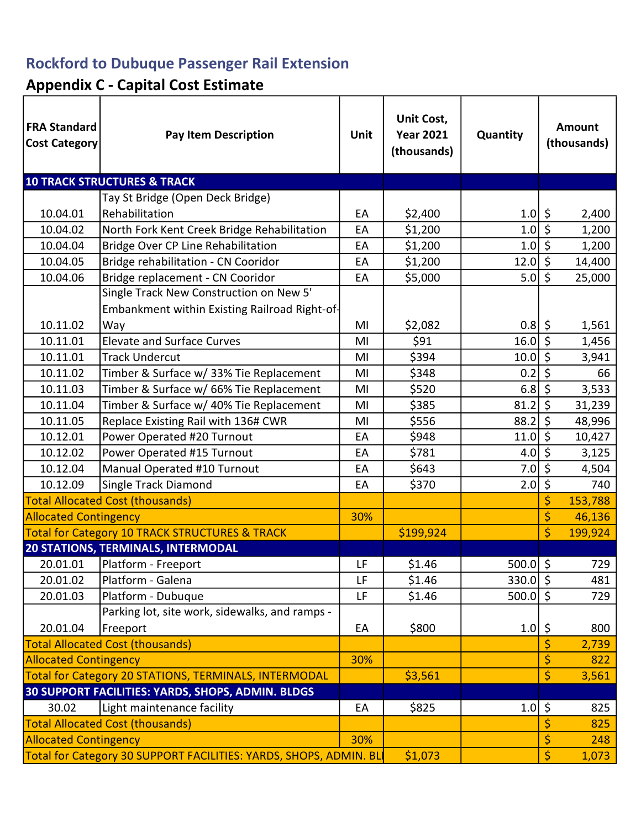## Rockford to Dubuque Passenger Rail Extension

# Appendix C - Capital Cost Estimate

| <b>FRA Standard</b><br><b>Cost Category</b>                       | <b>Pay Item Description</b>                               | <b>Unit</b> | Unit Cost,<br><b>Year 2021</b><br>(thousands) | Quantity     |                  | Amount<br>(thousands) |
|-------------------------------------------------------------------|-----------------------------------------------------------|-------------|-----------------------------------------------|--------------|------------------|-----------------------|
|                                                                   | <b>10 TRACK STRUCTURES &amp; TRACK</b>                    |             |                                               |              |                  |                       |
|                                                                   | Tay St Bridge (Open Deck Bridge)                          |             |                                               |              |                  |                       |
| 10.04.01                                                          | Rehabilitation                                            | EA          | \$2,400                                       | $1.0$   \$   |                  | 2,400                 |
| 10.04.02                                                          | North Fork Kent Creek Bridge Rehabilitation               | EA          | \$1,200                                       | $1.0 \mid 5$ |                  | 1,200                 |
| 10.04.04                                                          | Bridge Over CP Line Rehabilitation                        | EA          | \$1,200                                       | $1.0$   \$   |                  | 1,200                 |
| 10.04.05                                                          | Bridge rehabilitation - CN Cooridor                       | EA          | \$1,200                                       | 12.0         | $\zeta$          | 14,400                |
| 10.04.06                                                          | Bridge replacement - CN Cooridor                          | EA          | \$5,000                                       | 5.0          | $\zeta$          | 25,000                |
|                                                                   | Single Track New Construction on New 5'                   |             |                                               |              |                  |                       |
|                                                                   | Embankment within Existing Railroad Right-of-             |             |                                               |              |                  |                       |
| 10.11.02                                                          | Way                                                       | MI          | \$2,082                                       | $0.8$   \$   |                  | 1,561                 |
| 10.11.01                                                          | <b>Elevate and Surface Curves</b>                         | MI          | \$91                                          | 16.0         | $\overline{\xi}$ | 1,456                 |
| 10.11.01                                                          | <b>Track Undercut</b>                                     | MI          | \$394                                         | 10.0         | \$               | 3,941                 |
| 10.11.02                                                          | Timber & Surface w/ 33% Tie Replacement                   | MI          | \$348                                         | 0.2          | $\overline{\xi}$ | 66                    |
| 10.11.03                                                          | Timber & Surface w/ 66% Tie Replacement                   | MI          | \$520                                         | 6.8          | $\zeta$          | 3,533                 |
| 10.11.04                                                          | Timber & Surface w/ 40% Tie Replacement                   | MI          | \$385                                         | 81.2         | $\zeta$          | 31,239                |
| 10.11.05                                                          | Replace Existing Rail with 136# CWR                       | MI          | \$556                                         | 88.2         | \$               | 48,996                |
| 10.12.01                                                          | Power Operated #20 Turnout                                | EA          | \$948                                         | 11.0         | $\zeta$          | 10,427                |
| 10.12.02                                                          | Power Operated #15 Turnout                                | EA          | \$781                                         | 4.0          | \$               | 3,125                 |
| 10.12.04                                                          | Manual Operated #10 Turnout                               | EA          | \$643                                         | 7.0          | $\overline{\xi}$ | 4,504                 |
| 10.12.09                                                          | Single Track Diamond                                      | EA          | \$370                                         | 2.0          | \$               | 740                   |
| <b>Total Allocated Cost (thousands)</b>                           |                                                           |             |                                               |              | \$               | 153,788               |
| <b>Allocated Contingency</b>                                      |                                                           | 30%         |                                               |              | \$               | 46,136                |
|                                                                   | <b>Total for Category 10 TRACK STRUCTURES &amp; TRACK</b> |             | \$199,924                                     |              | \$               | 199,924               |
|                                                                   | <b>20 STATIONS, TERMINALS, INTERMODAL</b>                 |             |                                               |              |                  |                       |
| 20.01.01                                                          | Platform - Freeport                                       | LF          | \$1.46                                        | $500.0$ \$   |                  | 729                   |
| 20.01.02                                                          | Platform - Galena                                         | LF          | \$1.46                                        | $330.0$ \$   |                  | 481                   |
| 20.01.03                                                          | Platform - Dubuque                                        | LF          | \$1.46                                        | $500.0$ \$   |                  | 729                   |
|                                                                   | Parking lot, site work, sidewalks, and ramps -            |             |                                               |              |                  |                       |
| 20.01.04                                                          | Freeport                                                  | EA          | \$800                                         | $1.0$   \$   |                  | 800                   |
|                                                                   | <b>Total Allocated Cost (thousands)</b>                   |             |                                               |              | \$               | 2,739                 |
| <b>Allocated Contingency</b>                                      |                                                           | 30%         |                                               |              | \$               | 822                   |
| Total for Category 20 STATIONS, TERMINALS, INTERMODAL             |                                                           |             | \$3,561                                       |              | \$               | 3,561                 |
| 30 SUPPORT FACILITIES: YARDS, SHOPS, ADMIN. BLDGS                 |                                                           |             |                                               |              |                  |                       |
| 30.02                                                             | Light maintenance facility                                | EA          | \$825                                         | 1.0          | \$               | 825                   |
|                                                                   | <b>Total Allocated Cost (thousands)</b>                   |             |                                               |              | \$               | 825                   |
| <b>Allocated Contingency</b>                                      |                                                           | 30%         |                                               |              | \$               | 248                   |
| Total for Category 30 SUPPORT FACILITIES: YARDS, SHOPS, ADMIN. BL |                                                           |             | \$1,073                                       |              | \$               | 1,073                 |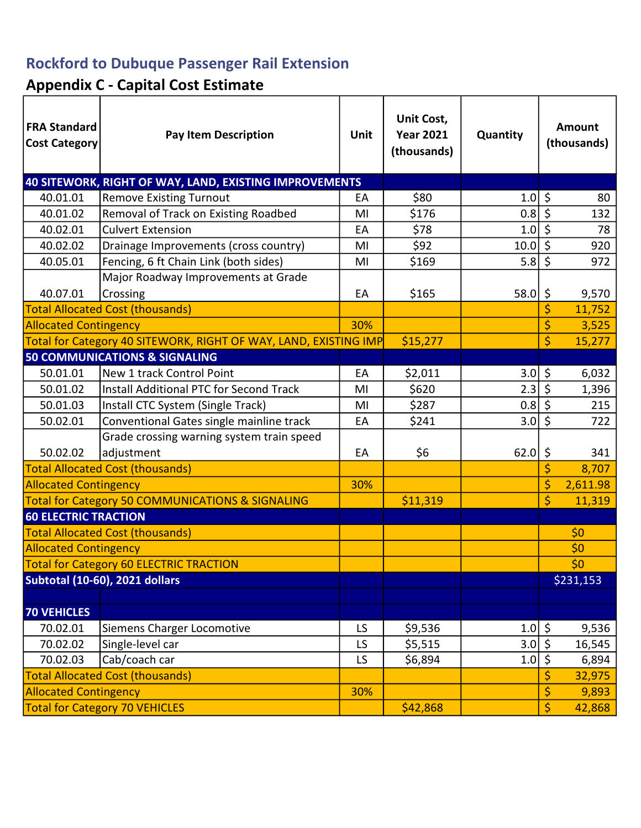## Rockford to Dubuque Passenger Rail Extension

# Appendix C - Capital Cost Estimate

| <b>FRA Standard</b><br><b>Cost Category</b>                 | <b>Pay Item Description</b>                                      | Unit | Unit Cost,<br><b>Year 2021</b><br>(thousands) | Quantity   | Amount<br>(thousands) |           |
|-------------------------------------------------------------|------------------------------------------------------------------|------|-----------------------------------------------|------------|-----------------------|-----------|
|                                                             | 40 SITEWORK, RIGHT OF WAY, LAND, EXISTING IMPROVEMENTS           |      |                                               |            |                       |           |
| 40.01.01                                                    | <b>Remove Existing Turnout</b>                                   | EA   | \$80                                          | 1.0        | \$                    | 80        |
| 40.01.02                                                    | Removal of Track on Existing Roadbed                             | MI   | \$176                                         | 0.8        | $\zeta$               | 132       |
| 40.02.01                                                    | <b>Culvert Extension</b>                                         | EA   | \$78                                          | 1.0        | $\overline{\xi}$      | 78        |
| 40.02.02                                                    | Drainage Improvements (cross country)                            | MI   | \$92                                          | 10.0       | \$                    | 920       |
| 40.05.01                                                    | Fencing, 6 ft Chain Link (both sides)                            | MI   | \$169                                         | 5.8        | \$                    | 972       |
|                                                             | Major Roadway Improvements at Grade                              |      |                                               |            |                       |           |
| 40.07.01                                                    | Crossing                                                         | EA   | \$165                                         | 58.0       | \$                    | 9,570     |
|                                                             | <b>Total Allocated Cost (thousands)</b>                          |      |                                               |            | \$                    | 11,752    |
| <b>Allocated Contingency</b>                                |                                                                  | 30%  |                                               |            | \$                    | 3,525     |
|                                                             | Total for Category 40 SITEWORK, RIGHT OF WAY, LAND, EXISTING IMP |      | \$15,277                                      |            | \$                    | 15,277    |
|                                                             | <b>50 COMMUNICATIONS &amp; SIGNALING</b>                         |      |                                               |            |                       |           |
| 50.01.01                                                    | New 1 track Control Point                                        | EA   | \$2,011                                       | 3.0        | \$                    | 6,032     |
| 50.01.02                                                    | <b>Install Additional PTC for Second Track</b>                   | MI   | \$620                                         | 2.3        | \$                    | 1,396     |
| 50.01.03                                                    | Install CTC System (Single Track)                                | MI   | \$287                                         | 0.8        | \$                    | 215       |
| 50.02.01                                                    | Conventional Gates single mainline track                         | EA   | \$241                                         | 3.0        | \$                    | 722       |
|                                                             | Grade crossing warning system train speed                        |      |                                               |            |                       |           |
| 50.02.02                                                    | adjustment                                                       | EA   | \$6                                           | 62.0       | \$                    | 341       |
| <b>Total Allocated Cost (thousands)</b>                     |                                                                  |      |                                               |            | \$                    | 8,707     |
| <b>Allocated Contingency</b>                                |                                                                  | 30%  |                                               |            | \$                    | 2,611.98  |
| <b>Total for Category 50 COMMUNICATIONS &amp; SIGNALING</b> |                                                                  |      | \$11,319                                      |            | \$                    | 11,319    |
| <b>60 ELECTRIC TRACTION</b>                                 |                                                                  |      |                                               |            |                       |           |
| <b>Total Allocated Cost (thousands)</b>                     |                                                                  |      |                                               |            |                       | \$0       |
| <b>Allocated Contingency</b>                                |                                                                  |      |                                               |            |                       | \$0       |
| <b>Total for Category 60 ELECTRIC TRACTION</b>              |                                                                  |      |                                               |            |                       | \$0       |
| Subtotal (10-60), 2021 dollars                              |                                                                  |      |                                               |            |                       | \$231,153 |
|                                                             |                                                                  |      |                                               |            |                       |           |
| <b>70 VEHICLES</b>                                          |                                                                  |      |                                               |            |                       |           |
| 70.02.01                                                    | Siemens Charger Locomotive                                       | LS   | \$9,536                                       | $1.0$   \$ |                       | 9,536     |
| 70.02.02                                                    | Single-level car                                                 | LS   | \$5,515                                       | 3.0        | $\overline{\xi}$      | 16,545    |
| 70.02.03                                                    | Cab/coach car                                                    | LS   | \$6,894                                       | 1.0        | \$                    | 6,894     |
| <b>Total Allocated Cost (thousands)</b>                     |                                                                  |      |                                               |            | \$                    | 32,975    |
| <b>Allocated Contingency</b>                                |                                                                  | 30%  |                                               |            | \$                    | 9,893     |
| <b>Total for Category 70 VEHICLES</b>                       |                                                                  |      | \$42,868                                      |            | \$                    | 42,868    |